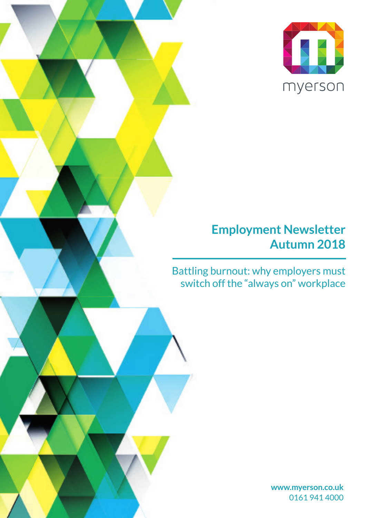

### **Employment Newsletter Autumn 2018**

Battling burnout: why employers must switch off the "always on" workplace

> **www.myerson.co.uk** 0161 941 4000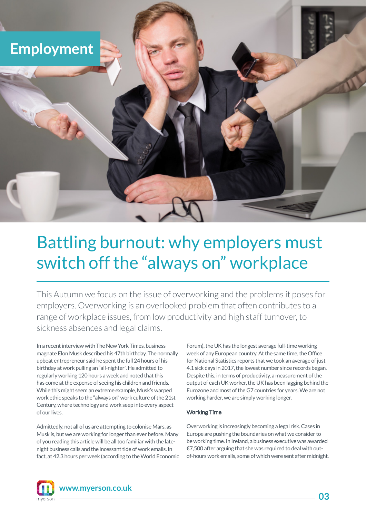

# Battling burnout: why employers must switch off the "always on" workplace

This Autumn we focus on the issue of overworking and the problems it poses for employers. Overworking is an overlooked problem that often contributes to a range of workplace issues, from low productivity and high staff turnover, to sickness absences and legal claims.

In a recent interview with The New York Times, business magnate Elon Musk described his 47th birthday. The normally upbeat entrepreneur said he spent the full 24 hours of his birthday at work pulling an "all-nighter". He admitted to regularly working 120 hours a week and noted that this has come at the expense of seeing his children and friends. While this might seem an extreme example, Musk's warped work ethic speaks to the "always on" work culture of the 21st Century, where technology and work seep into every aspect of our lives.

Admittedly, not all of us are attempting to colonise Mars, as Musk is, but we are working for longer than ever before. Many of you reading this article will be all too familiar with the latenight business calls and the incessant tide of work emails. In fact, at 42.3 hours per week (according to the World Economic Forum), the UK has the longest average full-time working week of any European country. At the same time, the Office for National Statistics reports that we took an average of just 4.1 sick days in 2017, the lowest number since records began. Despite this, in terms of productivity, a measurement of the output of each UK worker, the UK has been lagging behind the Eurozone and most of the G7 countries for years. We are not working harder, we are simply working longer.

### Working Time

Overworking is increasingly becoming a legal risk. Cases in Europe are pushing the boundaries on what we consider to be working time. In Ireland, a business executive was awarded €7,500 after arguing that she was required to deal with outof-hours work emails, some of which were sent after midnight.



**www.myerson.co.uk**

**03**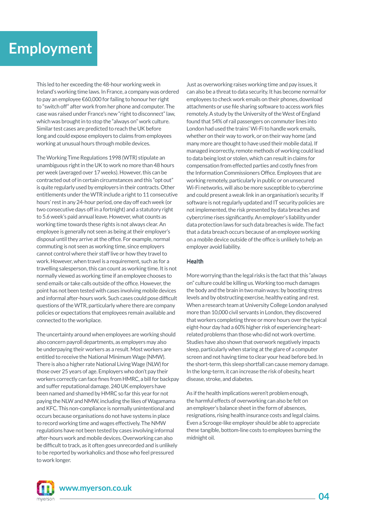## **Employment**

This led to her exceeding the 48-hour working week in Ireland's working time laws. In France, a company was ordered to pay an employee €60,000 for failing to honour her right to "switch off" after work from her phone and computer. The case was raised under France's new "right to disconnect" law, which was brought in to stop the "always on" work culture. Similar test cases are predicted to reach the UK before long and could expose employers to claims from employees working at unusual hours through mobile devices.

The Working Time Regulations 1998 (WTR) stipulate an unambiguous right in the UK to work no more than 48 hours per week (averaged over 17 weeks). However, this can be contracted out of in certain circumstances and this "opt out" is quite regularly used by employers in their contracts. Other entitlements under the WTR include a right to 11 consecutive hours' rest in any 24-hour period, one day off each week (or two consecutive days off in a fortnight) and a statutory right to 5.6 week's paid annual leave. However, what counts as working time towards these rights is not always clear. An employee is generally not seen as being at their employer's disposal until they arrive at the office. For example, normal commuting is not seen as working time, since employers cannot control where their staff live or how they travel to work. However, when travel is a requirement, such as for a travelling salesperson, this can count as working time. It is not normally viewed as working time if an employee chooses to send emails or take calls outside of the office. However, the point has not been tested with cases involving mobile devices and informal after-hours work. Such cases could pose difficult questions of the WTR, particularly where there are company policies or expectations that employees remain available and connected to the workplace.

The uncertainty around when employees are working should also concern payroll departments, as employers may also be underpaying their workers as a result. Most workers are entitled to receive the National Minimum Wage (NMW). There is also a higher rate National Living Wage (NLW) for those over 25 years of age. Employers who don't pay their workers correctly can face fines from HMRC, a bill for backpay and suffer reputational damage. 240 UK employers have been named and shamed by HMRC so far this year for not paying the NLW and NMW, including the likes of Wagamama and KFC. This non-compliance is normally unintentional and occurs because organisations do not have systems in place to record working time and wages effectively. The NMW regulations have not been tested by cases involving informal after-hours work and mobile devices. Overworking can also be difficult to track, as it often goes unrecorded and is unlikely to be reported by workaholics and those who feel pressured to work longer.

Just as overworking raises working time and pay issues, it can also be a threat to data security. It has become normal for employees to check work emails on their phones, download attachments or use file sharing software to access work files remotely. A study by the University of the West of England found that 54% of rail passengers on commuter lines into London had used the trains' Wi-Fi to handle work emails, whether on their way to work, or on their way home (and many more are thought to have used their mobile data). If managed incorrectly, remote methods of working could lead to data being lost or stolen, which can result in claims for compensation from effected parties and costly fines from the Information Commissioners Office. Employees that are working remotely, particularly in public or on unsecured Wi-Fi networks, will also be more susceptible to cybercrime and could present a weak link in an organisation's security. If software is not regularly updated and IT security policies are not implemented, the risk presented by data breaches and cybercrime rises significantly. An employer's liability under data protection laws for such data breaches is wide. The fact that a data breach occurs because of an employee working on a mobile device outside of the office is unlikely to help an employer avoid liability.

### Health

More worrying than the legal risks is the fact that this "always on" culture could be killing us. Working too much damages the body and the brain in two main ways: by boosting stress levels and by obstructing exercise, healthy eating and rest. When a research team at University College London analysed more than 10,000 civil servants in London, they discovered that workers completing three or more hours over the typical eight-hour day had a 60% higher risk of experiencing heartrelated problems than those who did not work overtime. Studies have also shown that overwork negatively impacts sleep, particularly when staring at the glare of a computer screen and not having time to clear your head before bed. In the short-term, this sleep shortfall can cause memory damage. In the long-term, it can increase the risk of obesity, heart disease, stroke, and diabetes.

As if the health implications weren't problem enough, the harmful effects of overworking can also be felt on an employer's balance sheet in the form of absences, resignations, rising health insurance costs and legal claims. Even a Scrooge-like employer should be able to appreciate these tangible, bottom-line costs to employees burning the midnight oil.



**www.myerson.co.uk**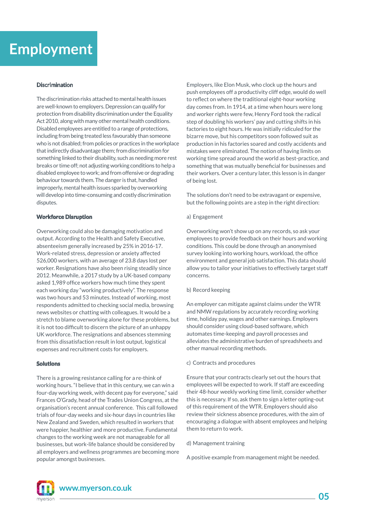## **Employment**

#### Discrimination

The discrimination risks attached to mental health issues are well-known to employers. Depression can qualify for protection from disability discrimination under the Equality Act 2010, along with many other mental health conditions. Disabled employees are entitled to a range of protections, including from being treated less favourably than someone who is not disabled; from policies or practices in the workplace that indirectly disadvantage them; from discrimination for something linked to their disability, such as needing more rest breaks or time off; not adjusting working conditions to help a disabled employee to work; and from offensive or degrading behaviour towards them. The danger is that, handled improperly, mental health issues sparked by overworking will develop into time-consuming and costly discrimination disputes.

#### **Workforce Disruption**

Overworking could also be damaging motivation and output. According to the Health and Safety Executive, absenteeism generally increased by 25% in 2016-17. Work-related stress, depression or anxiety affected 526,000 workers, with an average of 23.8 days lost per worker. Resignations have also been rising steadily since 2012. Meanwhile, a 2017 study by a UK-based company asked 1,989 office workers how much time they spent each working day "working productively". The response was two hours and 53 minutes. Instead of working, most respondents admitted to checking social media, browsing news websites or chatting with colleagues. It would be a stretch to blame overworking alone for these problems, but it is not too difficult to discern the picture of an unhappy UK workforce. The resignations and absences stemming from this dissatisfaction result in lost output, logistical expenses and recruitment costs for employers.

#### **Solutions**

There is a growing resistance calling for a re-think of working hours. "I believe that in this century, we can win a four-day working week, with decent pay for everyone," said Frances O'Grady, head of the Trades Union Congress, at the organisation's recent annual conference. This call followed trials of four-day weeks and six-hour days in countries like New Zealand and Sweden, which resulted in workers that were happier, healthier and more productive. Fundamental changes to the working week are not manageable for all businesses, but work-life balance should be considered by all employers and wellness programmes are becoming more popular amongst businesses.

Employers, like Elon Musk, who clock up the hours and push employees off a productivity cliff edge, would do well to reflect on where the traditional eight-hour working day comes from. In 1914, at a time when hours were long and worker rights were few, Henry Ford took the radical step of doubling his workers' pay and cutting shifts in his factories to eight hours. He was initially ridiculed for the bizarre move, but his competitors soon followed suit as production in his factories soared and costly accidents and mistakes were eliminated. The notion of having limits on working time spread around the world as best-practice, and something that was mutually beneficial for businesses and their workers. Over a century later, this lesson is in danger of being lost.

The solutions don't need to be extravagant or expensive, but the following points are a step in the right direction:

#### a) Engagement

Overworking won't show up on any records, so ask your employees to provide feedback on their hours and working conditions. This could be done through an anonymised survey looking into working hours, workload, the office environment and general job satisfaction. This data should allow you to tailor your initiatives to effectively target staff concerns.

#### b) Record keeping

An employer can mitigate against claims under the WTR and NMW regulations by accurately recording working time, holiday pay, wages and other earnings. Employers should consider using cloud-based software, which automates time-keeping and payroll processes and alleviates the administrative burden of spreadsheets and other manual recording methods.

#### c) Contracts and procedures

Ensure that your contracts clearly set out the hours that employees will be expected to work. If staff are exceeding their 48-hour weekly working time limit, consider whether this is necessary. If so, ask them to sign a letter opting-out of this requirement of the WTR. Employers should also review their sickness absence procedures, with the aim of encouraging a dialogue with absent employees and helping them to return to work.

#### d) Management training

A positive example from management might be needed.



**www.myerson.co.uk**